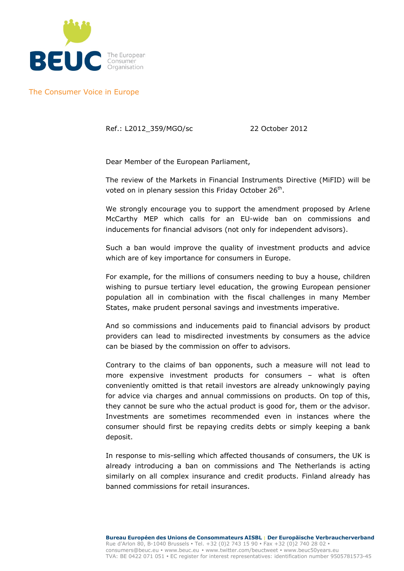

The Consumer Voice in Europe

Ref.: L2012\_359/MGO/sc 22 October 2012

Dear Member of the European Parliament,

The review of the Markets in Financial Instruments Directive (MiFID) will be voted on in plenary session this Friday October 26<sup>th</sup>.

We strongly encourage you to support the amendment proposed by Arlene McCarthy MEP which calls for an EU-wide ban on commissions and inducements for financial advisors (not only for independent advisors).

Such a ban would improve the quality of investment products and advice which are of key importance for consumers in Europe.

For example, for the millions of consumers needing to buy a house, children wishing to pursue tertiary level education, the growing European pensioner population all in combination with the fiscal challenges in many Member States, make prudent personal savings and investments imperative.

And so commissions and inducements paid to financial advisors by product providers can lead to misdirected investments by consumers as the advice can be biased by the commission on offer to advisors.

Contrary to the claims of ban opponents, such a measure will not lead to more expensive investment products for consumers – what is often conveniently omitted is that retail investors are already unknowingly paying for advice via charges and annual commissions on products. On top of this, they cannot be sure who the actual product is good for, them or the advisor. Investments are sometimes recommended even in instances where the consumer should first be repaying credits debts or simply keeping a bank deposit.

In response to mis-selling which affected thousands of consumers, the UK is already introducing a ban on commissions and The Netherlands is acting similarly on all complex insurance and credit products. Finland already has banned commissions for retail insurances.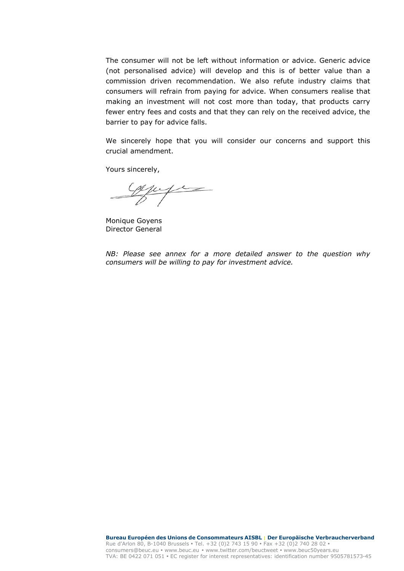The consumer will not be left without information or advice. Generic advice (not personalised advice) will develop and this is of better value than a commission driven recommendation. We also refute industry claims that consumers will refrain from paying for advice. When consumers realise that making an investment will not cost more than today, that products carry fewer entry fees and costs and that they can rely on the received advice, the barrier to pay for advice falls.

We sincerely hope that you will consider our concerns and support this crucial amendment.

Yours sincerely,

Capific

Monique Goyens Director General

*NB: Please see annex for a more detailed answer to the question why consumers will be willing to pay for investment advice.*